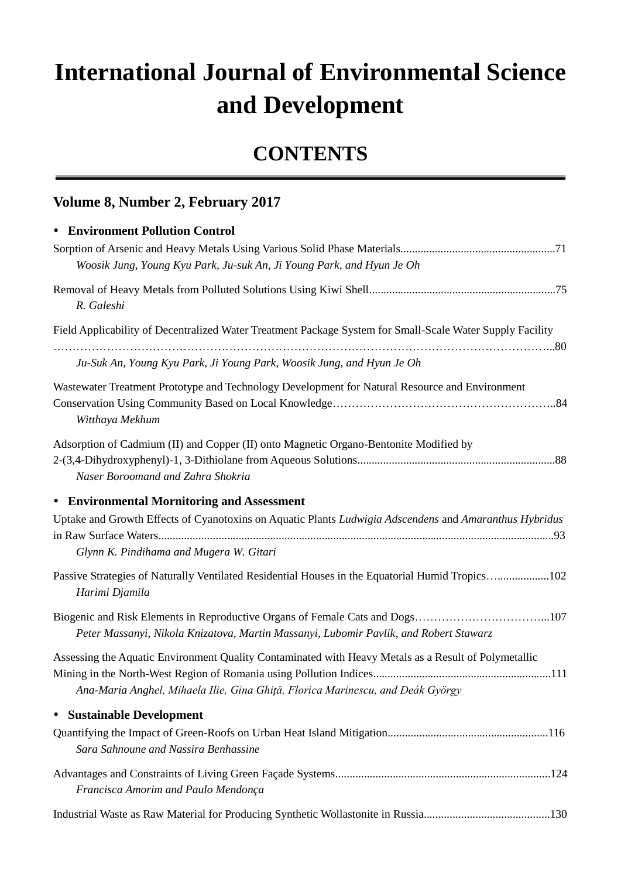## **International Journal of Environmental Science and Development**

## **CONTENTS**

## **Volume 8, Number 2, February 2017**

## **Environment Pollution Control**

| Woosik Jung, Young Kyu Park, Ju-suk An, Ji Young Park, and Hyun Je Oh                                                                                                                  |  |
|----------------------------------------------------------------------------------------------------------------------------------------------------------------------------------------|--|
| R. Galeshi                                                                                                                                                                             |  |
| Field Applicability of Decentralized Water Treatment Package System for Small-Scale Water Supply Facility                                                                              |  |
| Ju-Suk An, Young Kyu Park, Ji Young Park, Woosik Jung, and Hyun Je Oh                                                                                                                  |  |
| Wastewater Treatment Prototype and Technology Development for Natural Resource and Environment<br>Witthaya Mekhum                                                                      |  |
| Adsorption of Cadmium (II) and Copper (II) onto Magnetic Organo-Bentonite Modified by<br>Naser Boroomand and Zahra Shokria                                                             |  |
| • Environmental Mornitoring and Assessment                                                                                                                                             |  |
| Uptake and Growth Effects of Cyanotoxins on Aquatic Plants Ludwigia Adscendens and Amaranthus Hybridus<br>Glynn K. Pindihama and Mugera W. Gitari                                      |  |
| Passive Strategies of Naturally Ventilated Residential Houses in the Equatorial Humid Tropics102<br>Harimi Djamila                                                                     |  |
| Peter Massanyi, Nikola Knizatova, Martin Massanyi, Lubomir Pavlik, and Robert Stawarz                                                                                                  |  |
| Assessing the Aquatic Environment Quality Contaminated with Heavy Metals as a Result of Polymetallic<br>Ana-Maria Anghel, Mihaela Ilie, Gina Ghiță, Florica Marinescu, and Deák György |  |
| <b>Sustainable Development</b><br>$\bullet$                                                                                                                                            |  |
| Sara Sahnoune and Nassira Benhassine                                                                                                                                                   |  |
| Francisca Amorim and Paulo Mendon ça                                                                                                                                                   |  |
|                                                                                                                                                                                        |  |